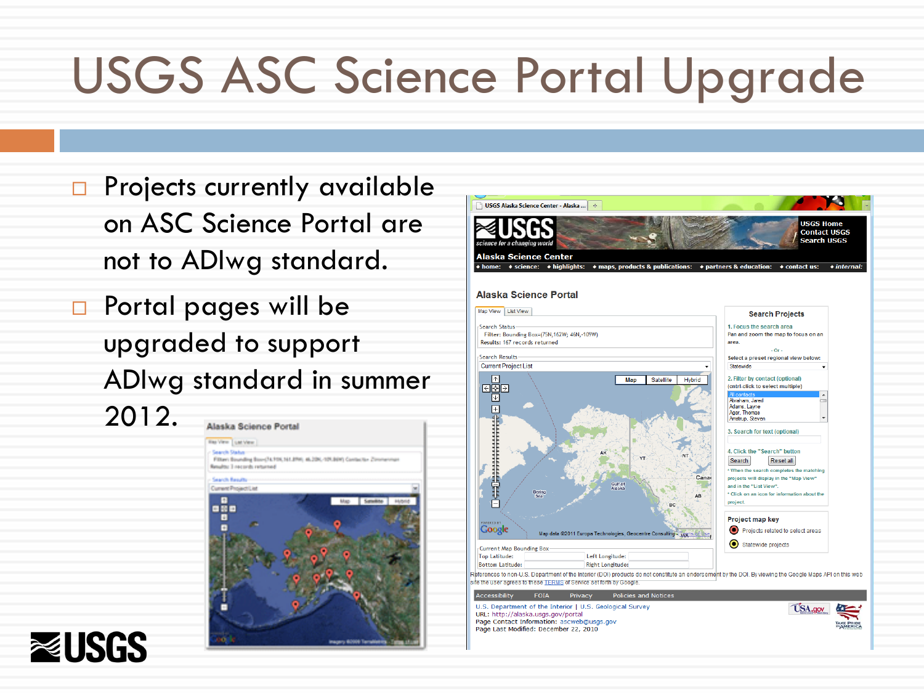# USGS ASC Science Portal Upgrade

- **Projects currently available** on ASC Science Portal are not to ADIwg standard.
- **D** Portal pages will be upgraded to support ADIwg standard in summer 2012.





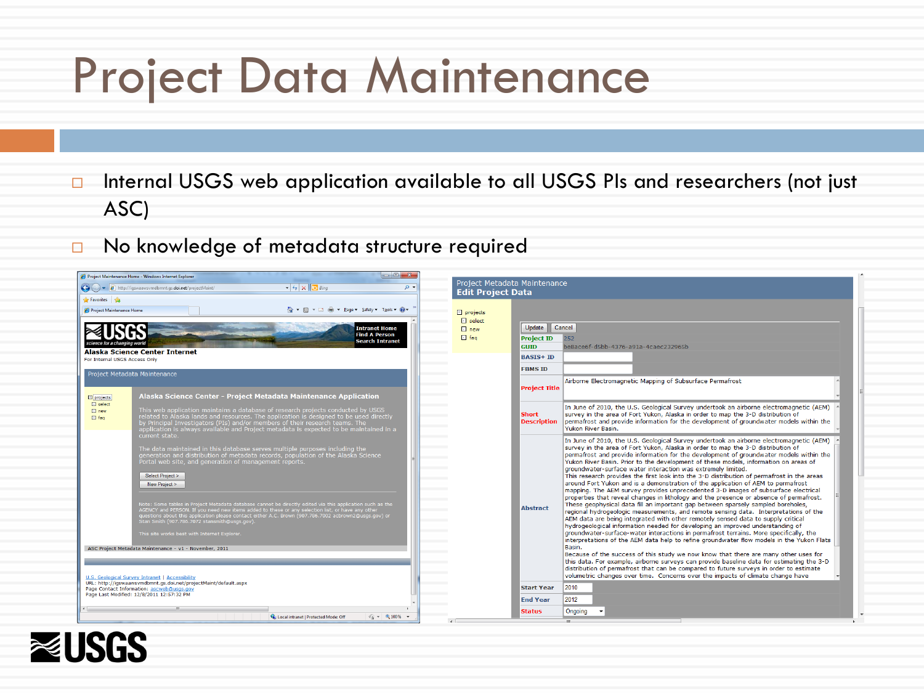### Project Data Maintenance

- □ Internal USGS web application available to all USGS PIs and researchers (not just ASC)
- No knowledge of metadata structure required

| Project Maintenance Home - Windows Internet Explorer                                                                                                                                                                                                                                                                                                                                                                                                                                                                                                                                                                                                                                                                                                 | $\begin{array}{c c c c c c} \hline \multicolumn{3}{c }{-} & \multicolumn{3}{c }{-} & \multicolumn{3}{c }{x} \end{array}$ |                                                          |                                                                                                                                                                                                                                                                                                                                                                                                                                                                                                                                                                                                                                                                                                                                                                                                                                                                                                                                                                                                                                                                                                                                                                                                                                                                                                                                                                                                                                                                                                                                        |
|------------------------------------------------------------------------------------------------------------------------------------------------------------------------------------------------------------------------------------------------------------------------------------------------------------------------------------------------------------------------------------------------------------------------------------------------------------------------------------------------------------------------------------------------------------------------------------------------------------------------------------------------------------------------------------------------------------------------------------------------------|--------------------------------------------------------------------------------------------------------------------------|----------------------------------------------------------|----------------------------------------------------------------------------------------------------------------------------------------------------------------------------------------------------------------------------------------------------------------------------------------------------------------------------------------------------------------------------------------------------------------------------------------------------------------------------------------------------------------------------------------------------------------------------------------------------------------------------------------------------------------------------------------------------------------------------------------------------------------------------------------------------------------------------------------------------------------------------------------------------------------------------------------------------------------------------------------------------------------------------------------------------------------------------------------------------------------------------------------------------------------------------------------------------------------------------------------------------------------------------------------------------------------------------------------------------------------------------------------------------------------------------------------------------------------------------------------------------------------------------------------|
| $ +$ $\times$ $\Box$ Bing<br>$\left(\begin{array}{c} \bullet \\ \bullet \end{array}\right)$ $\bullet$ http://igswaawsvmdbmnt.gs.doi.net/projectMaint/                                                                                                                                                                                                                                                                                                                                                                                                                                                                                                                                                                                                | $0 +$                                                                                                                    | Project Metadata Maintenance<br><b>Edit Project Data</b> |                                                                                                                                                                                                                                                                                                                                                                                                                                                                                                                                                                                                                                                                                                                                                                                                                                                                                                                                                                                                                                                                                                                                                                                                                                                                                                                                                                                                                                                                                                                                        |
| Favorites se                                                                                                                                                                                                                                                                                                                                                                                                                                                                                                                                                                                                                                                                                                                                         |                                                                                                                          |                                                          |                                                                                                                                                                                                                                                                                                                                                                                                                                                                                                                                                                                                                                                                                                                                                                                                                                                                                                                                                                                                                                                                                                                                                                                                                                                                                                                                                                                                                                                                                                                                        |
| ង តេ<br>Project Maintenance Home<br>$\mathbf{v}$ .                                                                                                                                                                                                                                                                                                                                                                                                                                                                                                                                                                                                                                                                                                   | m - Page - Safety - Tools - @ -<br>$\Box$ projects                                                                       |                                                          |                                                                                                                                                                                                                                                                                                                                                                                                                                                                                                                                                                                                                                                                                                                                                                                                                                                                                                                                                                                                                                                                                                                                                                                                                                                                                                                                                                                                                                                                                                                                        |
|                                                                                                                                                                                                                                                                                                                                                                                                                                                                                                                                                                                                                                                                                                                                                      | $\Box$ select                                                                                                            |                                                          |                                                                                                                                                                                                                                                                                                                                                                                                                                                                                                                                                                                                                                                                                                                                                                                                                                                                                                                                                                                                                                                                                                                                                                                                                                                                                                                                                                                                                                                                                                                                        |
|                                                                                                                                                                                                                                                                                                                                                                                                                                                                                                                                                                                                                                                                                                                                                      | <b>Intranet Home</b><br>$\Box$ new<br><b>Find A Person</b><br>$\Box$ fag                                                 | Update                                                   | Cancel                                                                                                                                                                                                                                                                                                                                                                                                                                                                                                                                                                                                                                                                                                                                                                                                                                                                                                                                                                                                                                                                                                                                                                                                                                                                                                                                                                                                                                                                                                                                 |
| science for a changing world                                                                                                                                                                                                                                                                                                                                                                                                                                                                                                                                                                                                                                                                                                                         | <b>Search Intranet</b>                                                                                                   | <b>Project ID</b><br><b>GUID</b>                         | 252<br>be8ace6f-d5bb-4376-a91a-4caec232965b                                                                                                                                                                                                                                                                                                                                                                                                                                                                                                                                                                                                                                                                                                                                                                                                                                                                                                                                                                                                                                                                                                                                                                                                                                                                                                                                                                                                                                                                                            |
| <b>Alaska Science Center Internet</b>                                                                                                                                                                                                                                                                                                                                                                                                                                                                                                                                                                                                                                                                                                                |                                                                                                                          | <b>BASIS+ ID</b>                                         |                                                                                                                                                                                                                                                                                                                                                                                                                                                                                                                                                                                                                                                                                                                                                                                                                                                                                                                                                                                                                                                                                                                                                                                                                                                                                                                                                                                                                                                                                                                                        |
| For Internal USGS Access Only                                                                                                                                                                                                                                                                                                                                                                                                                                                                                                                                                                                                                                                                                                                        |                                                                                                                          |                                                          |                                                                                                                                                                                                                                                                                                                                                                                                                                                                                                                                                                                                                                                                                                                                                                                                                                                                                                                                                                                                                                                                                                                                                                                                                                                                                                                                                                                                                                                                                                                                        |
| Project Metadata Maintenance                                                                                                                                                                                                                                                                                                                                                                                                                                                                                                                                                                                                                                                                                                                         |                                                                                                                          | <b>FBMS ID</b>                                           |                                                                                                                                                                                                                                                                                                                                                                                                                                                                                                                                                                                                                                                                                                                                                                                                                                                                                                                                                                                                                                                                                                                                                                                                                                                                                                                                                                                                                                                                                                                                        |
|                                                                                                                                                                                                                                                                                                                                                                                                                                                                                                                                                                                                                                                                                                                                                      |                                                                                                                          | <b>Project Title</b>                                     | Airborne Electromagnetic Mapping of Subsurface Permafrost                                                                                                                                                                                                                                                                                                                                                                                                                                                                                                                                                                                                                                                                                                                                                                                                                                                                                                                                                                                                                                                                                                                                                                                                                                                                                                                                                                                                                                                                              |
| Alaska Science Center - Project Metadata Maintenance Application<br>$\Box$ projects<br>$\Box$ select                                                                                                                                                                                                                                                                                                                                                                                                                                                                                                                                                                                                                                                 |                                                                                                                          |                                                          |                                                                                                                                                                                                                                                                                                                                                                                                                                                                                                                                                                                                                                                                                                                                                                                                                                                                                                                                                                                                                                                                                                                                                                                                                                                                                                                                                                                                                                                                                                                                        |
| This web application maintains a database of research projects conducted by USGS<br>$\Box$ new<br>related to Alaska lands and resources. The application is designed to be used directly<br>$\Box$ fag<br>by Principal Investigators (PIs) and/or members of their research teams. The<br>application is always available and Project metadata is expected to be maintained in a<br>current state.                                                                                                                                                                                                                                                                                                                                                   |                                                                                                                          | <b>Short</b><br><b>Description</b>                       | In June of 2010, the U.S. Geological Survey undertook an airborne electromagnetic (AEM)<br>survey in the area of Fort Yukon, Alaska in order to map the 3-D distribution of<br>permafrost and provide information for the development of groundwater models within the<br>Yukon River Basin.                                                                                                                                                                                                                                                                                                                                                                                                                                                                                                                                                                                                                                                                                                                                                                                                                                                                                                                                                                                                                                                                                                                                                                                                                                           |
| The data maintained in this database serves multiple purposes including the<br>generation and distribution of metadata records, population of the Alaska Science<br>Portal web site, and generation of management reports.<br>Select Project ><br>New Project ><br>Note: Some tables in Project Metadata database cannot be directly edited via this application such as the<br>AGENCY and PERSON. If you need new items added to these or any selection list, or have any other<br>questions about this application please contact either A.C. Brown (907.786.7002 acbrown2@usgs.gov) or<br>Stan Smith (907.786.7072 stansmith@usgs.gov).<br>This site works best with Internet Explorer.<br>ASC Project Metadata Maintenance - v1 - November, 2011 |                                                                                                                          | <b>Abstract</b>                                          | In June of 2010, the U.S. Geological Survey undertook an airborne electromagnetic (AEM)<br>survey in the area of Fort Yukon, Alaska in order to map the 3-D distribution of<br>permafrost and provide information for the development of groundwater models within the<br>Yukon River Basin. Prior to the development of these models, information on areas of<br>groundwater-surface water interaction was extremely limited.<br>This research provides the first look into the 3-D distribution of permafrost in the areas<br>around Fort Yukon and is a demonstration of the application of AEM to permafrost<br>mapping. The AEM survey provides unprecedented 3-D images of subsurface electrical<br>properties that reveal changes in lithology and the presence or absence of permafrost.<br>These geophysical data fill an important gap between sparsely sampled boreholes,<br>regional hydrogeologic measurements, and remote sensing data. Interpretations of the<br>AEM data are being integrated with other remotely sensed data to supply critical<br>hydrogeological information needed for developing an improved understanding of<br>groundwater-surface-water interactions in permafrost terrains. More specifically, the<br>interpretations of the AEM data help to refine groundwater flow models in the Yukon Flats<br>Basin.<br>Because of the success of this study we now know that there are many other uses for<br>this data. For example, airborne surveys can provide baseline data for estimating the 3-D |
| U.S. Geological Survey Intranet   Accessibility<br>URL: http://iqswaawsvmdbmnt.qs.doi.net/projectMaint/default.aspx                                                                                                                                                                                                                                                                                                                                                                                                                                                                                                                                                                                                                                  |                                                                                                                          | <b>Start Year</b>                                        | distribution of permafrost that can be compared to future surveys in order to estimate<br>volumetric changes over time. Concerns over the impacts of climate change have<br>2010                                                                                                                                                                                                                                                                                                                                                                                                                                                                                                                                                                                                                                                                                                                                                                                                                                                                                                                                                                                                                                                                                                                                                                                                                                                                                                                                                       |
| Page Contact Information: ascweb@usgs.gov<br>Page Last Modified: 12/8/2011 12:57:32 PM                                                                                                                                                                                                                                                                                                                                                                                                                                                                                                                                                                                                                                                               |                                                                                                                          |                                                          |                                                                                                                                                                                                                                                                                                                                                                                                                                                                                                                                                                                                                                                                                                                                                                                                                                                                                                                                                                                                                                                                                                                                                                                                                                                                                                                                                                                                                                                                                                                                        |
|                                                                                                                                                                                                                                                                                                                                                                                                                                                                                                                                                                                                                                                                                                                                                      |                                                                                                                          | <b>End Year</b>                                          | 2012                                                                                                                                                                                                                                                                                                                                                                                                                                                                                                                                                                                                                                                                                                                                                                                                                                                                                                                                                                                                                                                                                                                                                                                                                                                                                                                                                                                                                                                                                                                                   |
| <b>Status</b><br>$\frac{1}{2}$ = $\frac{100\%}{2}$ =<br><b>Ca.</b> Local intranet   Protected Mode: Off                                                                                                                                                                                                                                                                                                                                                                                                                                                                                                                                                                                                                                              |                                                                                                                          |                                                          | Ongoing                                                                                                                                                                                                                                                                                                                                                                                                                                                                                                                                                                                                                                                                                                                                                                                                                                                                                                                                                                                                                                                                                                                                                                                                                                                                                                                                                                                                                                                                                                                                |
|                                                                                                                                                                                                                                                                                                                                                                                                                                                                                                                                                                                                                                                                                                                                                      |                                                                                                                          |                                                          |                                                                                                                                                                                                                                                                                                                                                                                                                                                                                                                                                                                                                                                                                                                                                                                                                                                                                                                                                                                                                                                                                                                                                                                                                                                                                                                                                                                                                                                                                                                                        |

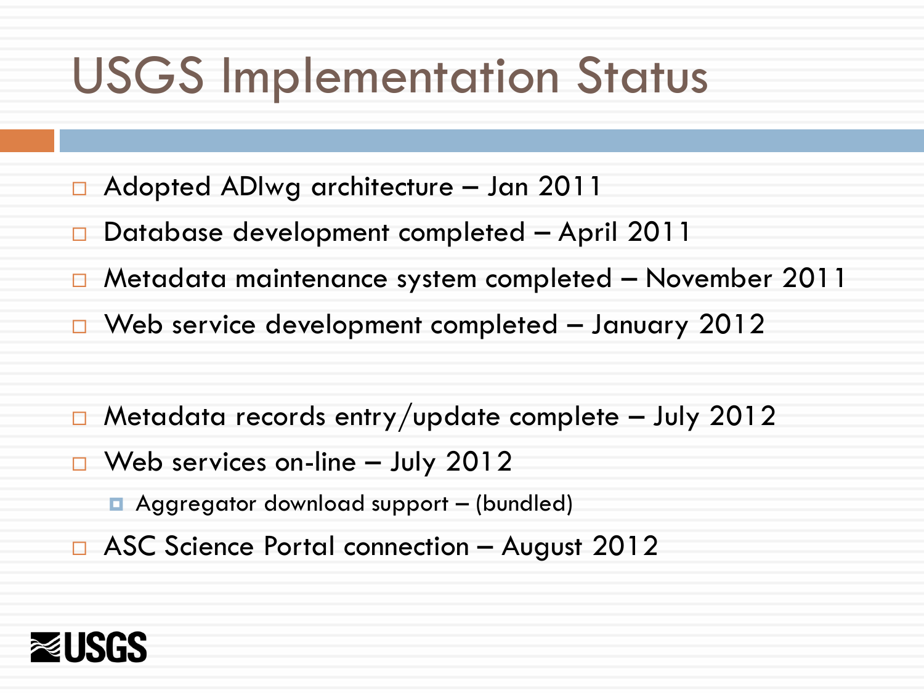## USGS Implementation Status

- Adopted ADIwg architecture Jan 2011
- Database development completed April 2011
- Metadata maintenance system completed November 2011
- $\Box$  Web service development completed January 2012
- $\Box$  Metadata records entry/update complete July 2012
- $\Box$  Web services on-line July 2012
	- Aggregator download support (bundled)
- □ ASC Science Portal connection August 2012

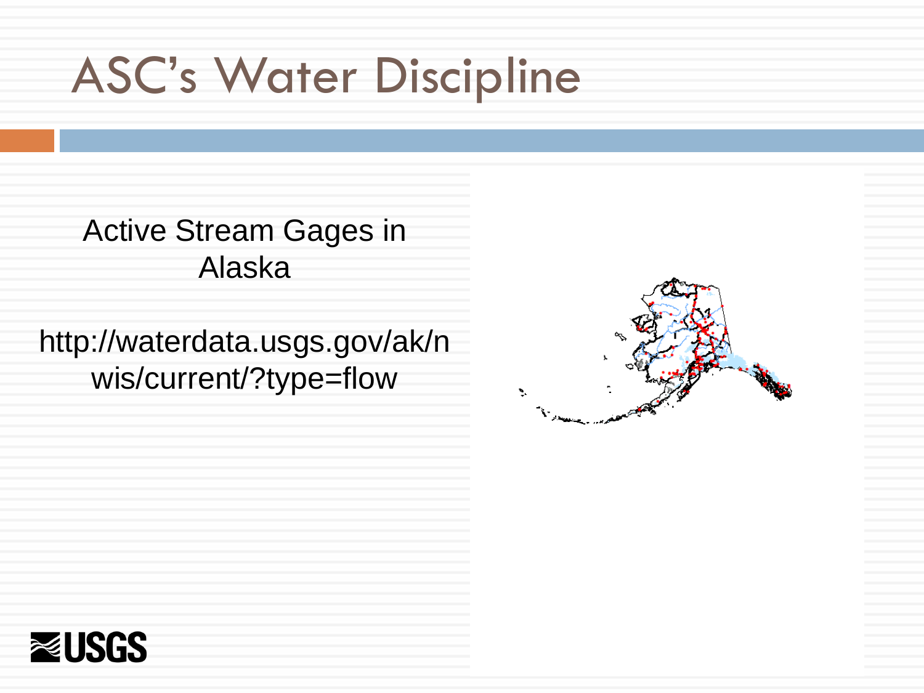## ASC's Water Discipline

Active Stream Gages in Alaska

http://waterdata.usgs.gov/ak/n wis/current/?type=flow



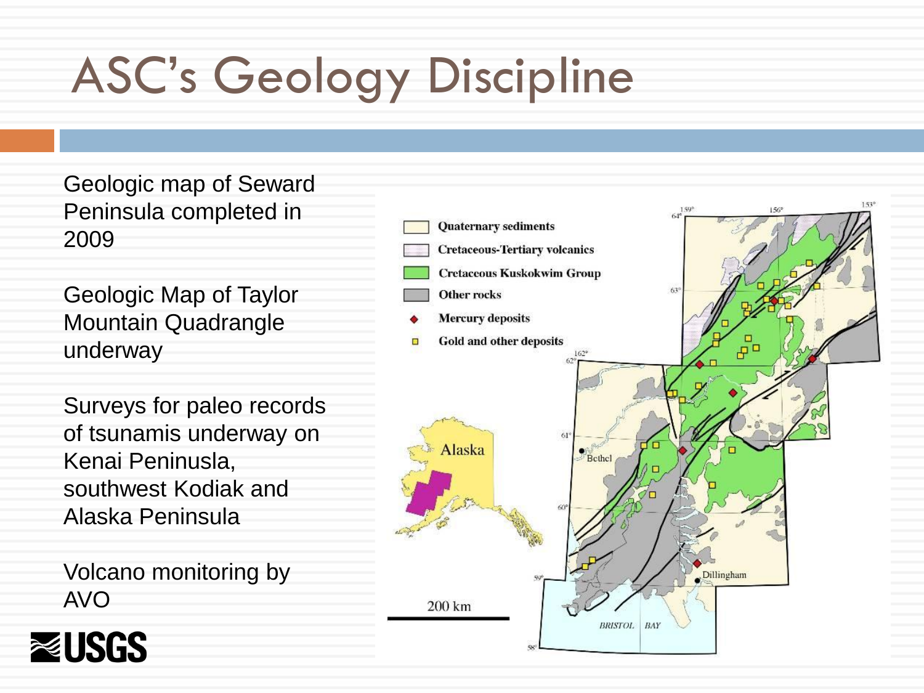# ASC's Geology Discipline

Geologic map of Seward Peninsula completed in 2009

Geologic Map of Taylor Mountain Quadrangle underway

Surveys for paleo records of tsunamis underway on Kenai Peninusla, southwest Kodiak and Alaska Peninsula

Volcano monitoring by AVO



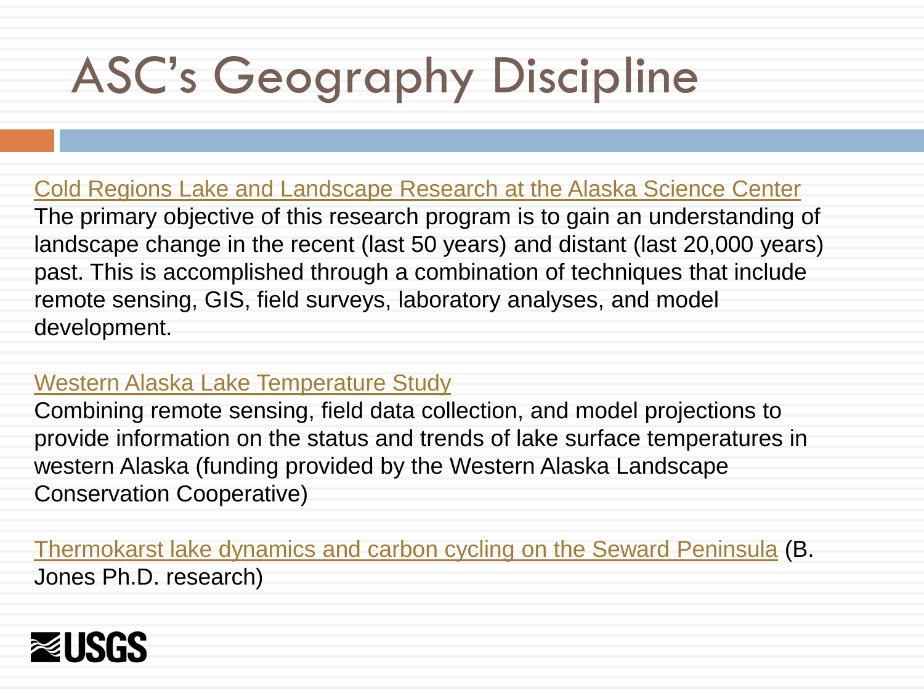# ASC's Geography Discipline

Cold Regions Lake and Landscape Research at the Alaska Science Center

The primary objective of this research program is to gain an understanding of landscape change in the recent (last 50 years) and distant (last 20,000 years) past. This is accomplished through a combination of techniques that include remote sensing, GIS, field surveys, laboratory analyses, and model development[.](http://www.arcus.org/western-alaska-lcc)

#### Western Alaska Lake Temperature Study

Combining remote sensing, field data collection, and model projections to provide information on the status and trends of lake surface temperatures in western Alaska (funding provided by the Western Alaska Landscape Conservation Cooperative)

Thermokarst lake dynamics and carbon cycling on the Seward Peninsula (B. Jones Ph.D. research)